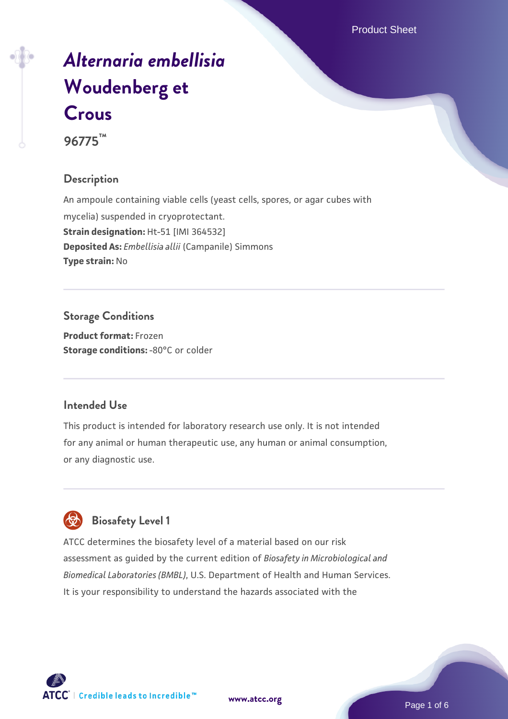# *[Alternaria embellisia](https://www.atcc.org/products/96775)* **[Woudenberg et](https://www.atcc.org/products/96775) [Crous](https://www.atcc.org/products/96775)**

**96775™**

## **Description**

An ampoule containing viable cells (yeast cells, spores, or agar cubes with mycelia) suspended in cryoprotectant. **Strain designation:** Ht-51 [IMI 364532] **Deposited As:** *Embellisia allii* (Campanile) Simmons **Type strain:** No

**Storage Conditions Product format:** Frozen **Storage conditions: -80°C or colder** 

## **Intended Use**

This product is intended for laboratory research use only. It is not intended for any animal or human therapeutic use, any human or animal consumption, or any diagnostic use.



# **Biosafety Level 1**

ATCC determines the biosafety level of a material based on our risk assessment as guided by the current edition of *Biosafety in Microbiological and Biomedical Laboratories (BMBL)*, U.S. Department of Health and Human Services. It is your responsibility to understand the hazards associated with the

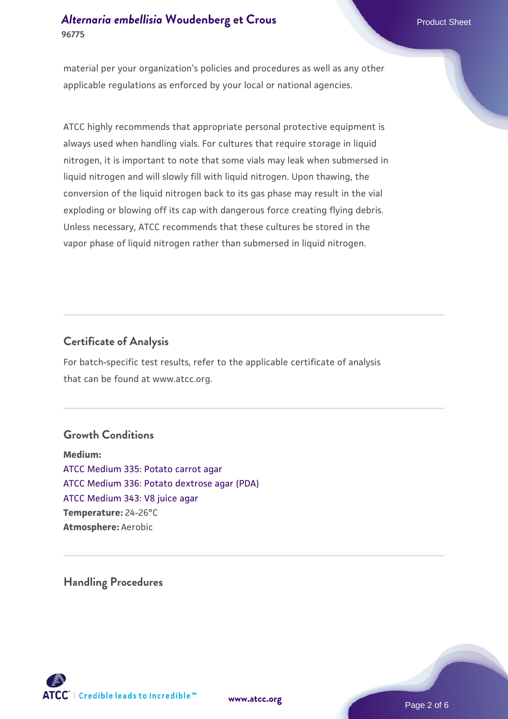## *[Alternaria embellisia](https://www.atcc.org/products/96775)* [Woudenberg et Crous](https://www.atcc.org/products/96775)<br>
Product Sheet **96775**

material per your organization's policies and procedures as well as any other applicable regulations as enforced by your local or national agencies.

ATCC highly recommends that appropriate personal protective equipment is always used when handling vials. For cultures that require storage in liquid nitrogen, it is important to note that some vials may leak when submersed in liquid nitrogen and will slowly fill with liquid nitrogen. Upon thawing, the conversion of the liquid nitrogen back to its gas phase may result in the vial exploding or blowing off its cap with dangerous force creating flying debris. Unless necessary, ATCC recommends that these cultures be stored in the vapor phase of liquid nitrogen rather than submersed in liquid nitrogen.

## **Certificate of Analysis**

For batch-specific test results, refer to the applicable certificate of analysis that can be found at www.atcc.org.

## **Growth Conditions**

**Medium:**  [ATCC Medium 335: Potato carrot agar](https://www.atcc.org/-/media/product-assets/documents/microbial-media-formulations/3/3/5/atcc-medium-335.pdf?rev=a7055ab8b3c54646a9d0bdf7b34c1606) [ATCC Medium 336: Potato dextrose agar \(PDA\)](https://www.atcc.org/-/media/product-assets/documents/microbial-media-formulations/3/3/6/atcc-medium-336.pdf?rev=d9160ad44d934cd8b65175461abbf3b9) [ATCC Medium 343: V8 juice agar](https://www.atcc.org/-/media/product-assets/documents/microbial-media-formulations/3/4/3/atcc-medium-0343.pdf?rev=fbf48fa24e664932828269db1822ab12) **Temperature:** 24-26°C **Atmosphere:** Aerobic

**Handling Procedures**



**[www.atcc.org](http://www.atcc.org)**

Page 2 of 6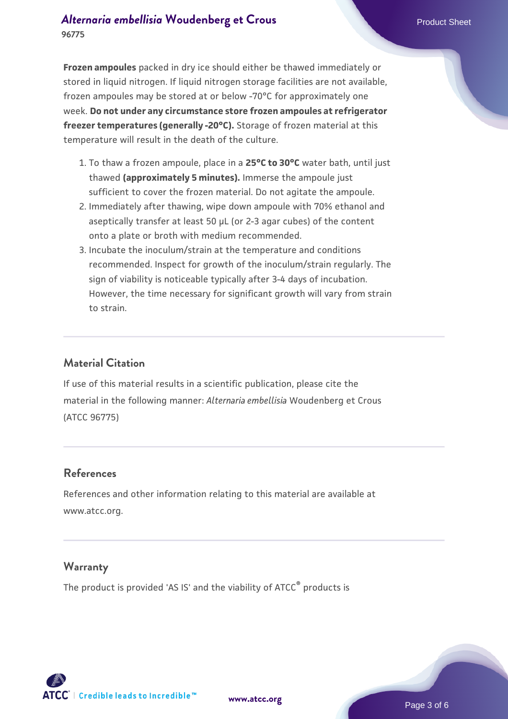**Frozen ampoules** packed in dry ice should either be thawed immediately or stored in liquid nitrogen. If liquid nitrogen storage facilities are not available, frozen ampoules may be stored at or below -70°C for approximately one week. **Do not under any circumstance store frozen ampoules at refrigerator freezer temperatures (generally -20°C).** Storage of frozen material at this temperature will result in the death of the culture.

- 1. To thaw a frozen ampoule, place in a **25°C to 30°C** water bath, until just thawed **(approximately 5 minutes).** Immerse the ampoule just sufficient to cover the frozen material. Do not agitate the ampoule.
- 2. Immediately after thawing, wipe down ampoule with 70% ethanol and aseptically transfer at least 50 µL (or 2-3 agar cubes) of the content onto a plate or broth with medium recommended.
- Incubate the inoculum/strain at the temperature and conditions 3. recommended. Inspect for growth of the inoculum/strain regularly. The sign of viability is noticeable typically after 3-4 days of incubation. However, the time necessary for significant growth will vary from strain to strain.

#### **Material Citation**

If use of this material results in a scientific publication, please cite the material in the following manner: *Alternaria embellisia* Woudenberg et Crous (ATCC 96775)

#### **References**

References and other information relating to this material are available at www.atcc.org.

#### **Warranty**

The product is provided 'AS IS' and the viability of ATCC<sup>®</sup> products is



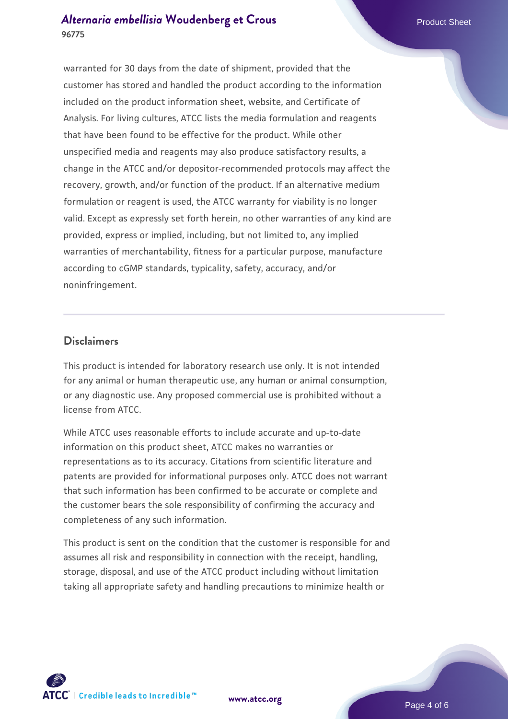## *[Alternaria embellisia](https://www.atcc.org/products/96775)* [Woudenberg et Crous](https://www.atcc.org/products/96775)<br>
Product Sheet **96775**

warranted for 30 days from the date of shipment, provided that the customer has stored and handled the product according to the information included on the product information sheet, website, and Certificate of Analysis. For living cultures, ATCC lists the media formulation and reagents that have been found to be effective for the product. While other unspecified media and reagents may also produce satisfactory results, a change in the ATCC and/or depositor-recommended protocols may affect the recovery, growth, and/or function of the product. If an alternative medium formulation or reagent is used, the ATCC warranty for viability is no longer valid. Except as expressly set forth herein, no other warranties of any kind are provided, express or implied, including, but not limited to, any implied warranties of merchantability, fitness for a particular purpose, manufacture according to cGMP standards, typicality, safety, accuracy, and/or noninfringement.

#### **Disclaimers**

This product is intended for laboratory research use only. It is not intended for any animal or human therapeutic use, any human or animal consumption, or any diagnostic use. Any proposed commercial use is prohibited without a license from ATCC.

While ATCC uses reasonable efforts to include accurate and up-to-date information on this product sheet, ATCC makes no warranties or representations as to its accuracy. Citations from scientific literature and patents are provided for informational purposes only. ATCC does not warrant that such information has been confirmed to be accurate or complete and the customer bears the sole responsibility of confirming the accuracy and completeness of any such information.

This product is sent on the condition that the customer is responsible for and assumes all risk and responsibility in connection with the receipt, handling, storage, disposal, and use of the ATCC product including without limitation taking all appropriate safety and handling precautions to minimize health or



**[www.atcc.org](http://www.atcc.org)**

Page 4 of 6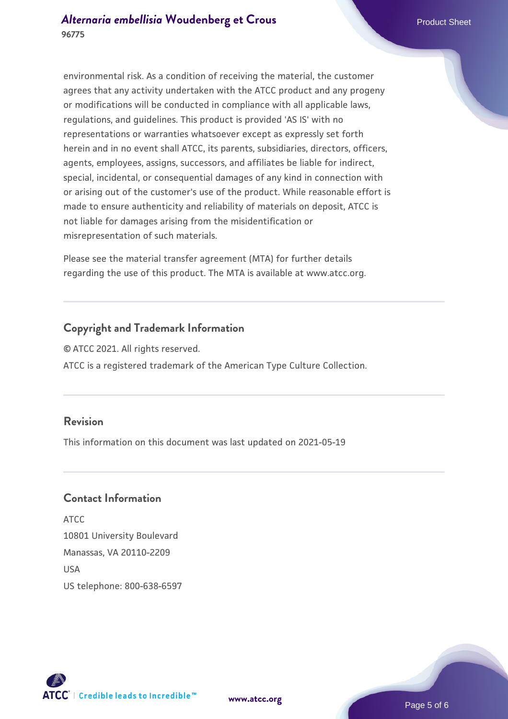environmental risk. As a condition of receiving the material, the customer agrees that any activity undertaken with the ATCC product and any progeny or modifications will be conducted in compliance with all applicable laws, regulations, and guidelines. This product is provided 'AS IS' with no representations or warranties whatsoever except as expressly set forth herein and in no event shall ATCC, its parents, subsidiaries, directors, officers, agents, employees, assigns, successors, and affiliates be liable for indirect, special, incidental, or consequential damages of any kind in connection with or arising out of the customer's use of the product. While reasonable effort is made to ensure authenticity and reliability of materials on deposit, ATCC is not liable for damages arising from the misidentification or misrepresentation of such materials.

Please see the material transfer agreement (MTA) for further details regarding the use of this product. The MTA is available at www.atcc.org.

## **Copyright and Trademark Information**

© ATCC 2021. All rights reserved. ATCC is a registered trademark of the American Type Culture Collection.

## **Revision**

This information on this document was last updated on 2021-05-19

## **Contact Information**

ATCC 10801 University Boulevard Manassas, VA 20110-2209 **IISA** US telephone: 800-638-6597